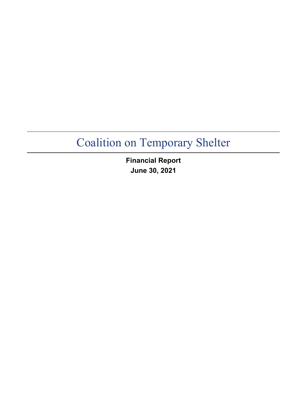**Financial Report June 30, 2021**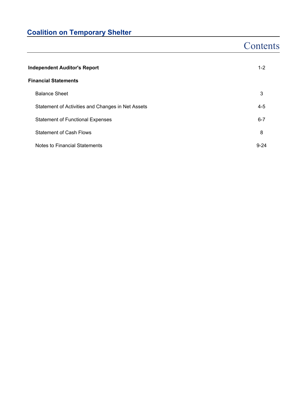## **Contents**

| <b>Independent Auditor's Report</b>               |          |  |  |  |  |  |  |
|---------------------------------------------------|----------|--|--|--|--|--|--|
| <b>Financial Statements</b>                       |          |  |  |  |  |  |  |
| <b>Balance Sheet</b>                              | 3        |  |  |  |  |  |  |
| Statement of Activities and Changes in Net Assets | 4-5      |  |  |  |  |  |  |
| <b>Statement of Functional Expenses</b>           | $6 - 7$  |  |  |  |  |  |  |
| <b>Statement of Cash Flows</b>                    | 8        |  |  |  |  |  |  |
| Notes to Financial Statements                     | $9 - 24$ |  |  |  |  |  |  |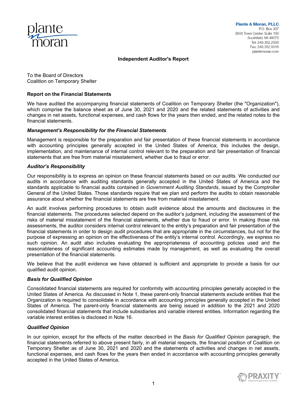

### **Independent Auditor's Report**

To the Board of Directors Coalition on Temporary Shelter

### **Report on the Financial Statements**

We have audited the accompanying financial statements of Coalition on Temporary Shelter (the "Organization"), which comprise the balance sheet as of June 30, 2021 and 2020 and the related statements of activities and changes in net assets, functional expenses, and cash flows for the years then ended, and the related notes to the financial statements.

#### *Management's Responsibility for the Financial Statements*

Management is responsible for the preparation and fair presentation of these financial statements in accordance with accounting principles generally accepted in the United States of America; this includes the design, implementation, and maintenance of internal control relevant to the preparation and fair presentation of financial statements that are free from material misstatement, whether due to fraud or error.

#### *Auditor's Responsibility*

Our responsibility is to express an opinion on these financial statements based on our audits. We conducted our audits in accordance with auditing standards generally accepted in the United States of America and the standards applicable to financial audits contained in *Government Auditing Standards*, issued by the Comptroller General of the United States. Those standards require that we plan and perform the audits to obtain reasonable assurance about whether the financial statements are free from material misstatement.

An audit involves performing procedures to obtain audit evidence about the amounts and disclosures in the financial statements. The procedures selected depend on the auditor's judgment, including the assessment of the risks of material misstatement of the financial statements, whether due to fraud or error. In making those risk assessments, the auditor considers internal control relevant to the entity's preparation and fair presentation of the financial statements in order to design audit procedures that are appropriate in the circumstances, but not for the purpose of expressing an opinion on the effectiveness of the entity's internal control. Accordingly, we express no such opinion. An audit also includes evaluating the appropriateness of accounting policies used and the reasonableness of significant accounting estimates made by management, as well as evaluating the overall presentation of the financial statements.

We believe that the audit evidence we have obtained is sufficient and appropriate to provide a basis for our qualified audit opinion.

#### *Basis for Qualified Opinion*

Consolidated financial statements are required for conformity with accounting principles generally accepted in the United States of America. As discussed in Note 1, these parent-only financial statements exclude entities that the Organization is required to consolidate in accordance with accounting principles generally accepted in the United States of America. The parent-only financial statements are being issued in addition to the 2021 and 2020 consolidated financial statements that include subsidiaries and variable interest entities. Information regarding the variable interest entities is disclosed in Note 16.

#### *Qualified Opinion*

In our opinion, except for the effects of the matter described in the *Basis for Qualified Opinion* paragraph, the financial statements referred to above present fairly, in all material respects, the financial position of Coalition on Temporary Shelter as of June 30, 2021 and 2020 and the statements of activities and changes in net assets, functional expenses, and cash flows for the years then ended in accordance with accounting principles generally accepted in the United States of America.

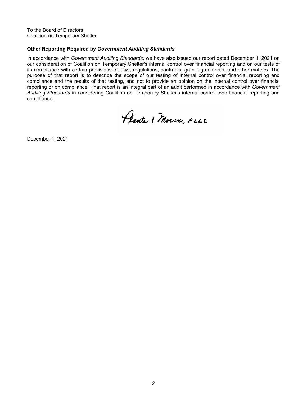To the Board of Directors Coalition on Temporary Shelter

### **Other Reporting Required by** *Government Auditing Standards*

In accordance with *Government Auditing Standards*, we have also issued our report dated December 1, 2021 on our consideration of Coalition on Temporary Shelter's internal control over financial reporting and on our tests of its compliance with certain provisions of laws, regulations, contracts, grant agreements, and other matters. The purpose of that report is to describe the scope of our testing of internal control over financial reporting and compliance and the results of that testing, and not to provide an opinion on the internal control over financial reporting or on compliance. That report is an integral part of an audit performed in accordance with *Government Auditing Standards* in considering Coalition on Temporary Shelter's internal control over financial reporting and compliance.

Plante & Moran, PLLC

December 1, 2021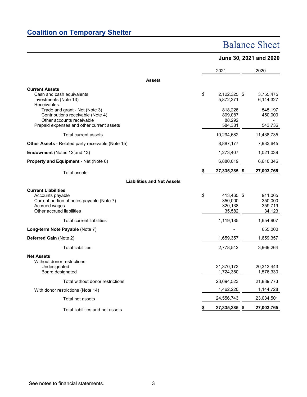### Balance Sheet

### **June 30, 2021 and 2020**

|                                                                                                                                                                                                 | 2021                                                            | 2020                                         |
|-------------------------------------------------------------------------------------------------------------------------------------------------------------------------------------------------|-----------------------------------------------------------------|----------------------------------------------|
| <b>Assets</b>                                                                                                                                                                                   |                                                                 |                                              |
| <b>Current Assets</b><br>Cash and cash equivalents<br>Investments (Note 13)<br>Receivables:<br>Trade and grant - Net (Note 3)<br>Contributions receivable (Note 4)<br>Other accounts receivable | \$<br>2,122,325 \$<br>5,872,371<br>818,226<br>809,087<br>88,292 | 3,755,475<br>6,144,327<br>545,197<br>450,000 |
| Prepaid expenses and other current assets<br><b>Total current assets</b>                                                                                                                        | 584,381<br>10,294,682                                           | 543,736<br>11,438,735                        |
| Other Assets - Related party receivable (Note 15)                                                                                                                                               | 8,887,177                                                       | 7,933,645                                    |
| Endowment (Notes 12 and 13)                                                                                                                                                                     | 1,273,407                                                       | 1,021,039                                    |
| Property and Equipment - Net (Note 6)                                                                                                                                                           | 6,880,019                                                       | 6,610,346                                    |
| <b>Total assets</b>                                                                                                                                                                             | 27,335,285                                                      | \$<br>27,003,765                             |
| <b>Liabilities and Net Assets</b>                                                                                                                                                               |                                                                 |                                              |
| <b>Current Liabilities</b><br>Accounts payable<br>Current portion of notes payable (Note 7)<br>Accrued wages<br>Other accrued liabilities                                                       | \$<br>413,465 \$<br>350,000<br>320,138<br>35,582                | 911,065<br>350.000<br>359,719<br>34,123      |
| <b>Total current liabilities</b>                                                                                                                                                                | 1,119,185                                                       | 1,654,907                                    |
| Long-term Note Payable (Note 7)                                                                                                                                                                 |                                                                 | 655,000                                      |
| Deferred Gain (Note 2)                                                                                                                                                                          | 1,659,357                                                       | 1,659,357                                    |
| <b>Total liabilities</b>                                                                                                                                                                        | 2,778,542                                                       | 3,969,264                                    |
| <b>Net Assets</b><br>Without donor restrictions:<br>Undesignated<br>Board designated                                                                                                            | 21,370,173<br>1,724,350                                         | 20,313,443<br>1,576,330                      |
| Total without donor restrictions                                                                                                                                                                | 23,094,523                                                      | 21,889,773                                   |
| With donor restrictions (Note 14)                                                                                                                                                               | 1,462,220                                                       | 1,144,728                                    |
| Total net assets                                                                                                                                                                                | 24,556,743                                                      | 23,034,501                                   |
| Total liabilities and net assets                                                                                                                                                                | 27,335,285                                                      | \$<br>27,003,765                             |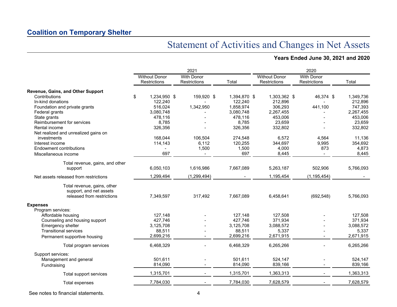## Statement of Activities and Changes in Net Assets

### **Years Ended June 30, 2021 and 2020**

|                                                                                      |                                      | 2021                              |              |                                      | 2020                              |           |
|--------------------------------------------------------------------------------------|--------------------------------------|-----------------------------------|--------------|--------------------------------------|-----------------------------------|-----------|
|                                                                                      | <b>Without Donor</b><br>Restrictions | <b>With Donor</b><br>Restrictions | Total        | <b>Without Donor</b><br>Restrictions | <b>With Donor</b><br>Restrictions | Total     |
| Revenue, Gains, and Other Support                                                    |                                      |                                   |              |                                      |                                   |           |
| Contributions                                                                        | \$<br>1,234,950 \$                   | 159,920 \$                        | 1,394,870 \$ | 1,303,362 \$                         | 46,374 \$                         | 1,349,736 |
| In-kind donations                                                                    | 122,240                              |                                   | 122,240      | 212,896                              |                                   | 212,896   |
| Foundation and private grants                                                        | 516,024                              | 1,342,950                         | 1,858,974    | 306,293                              | 441,100                           | 747,393   |
| Federal grants                                                                       | 3,080,748                            |                                   | 3,080,748    | 2,267,455                            |                                   | 2,267,455 |
| State grants                                                                         | 478,116                              |                                   | 478,116      | 453,006                              |                                   | 453,006   |
| Reimbursement for services                                                           | 8,785                                |                                   | 8,785        | 23,659                               |                                   | 23,659    |
| Rental income                                                                        | 326,356                              |                                   | 326,356      | 332,802                              |                                   | 332,802   |
| Net realized and unrealized gains on                                                 |                                      |                                   |              |                                      |                                   |           |
| investments                                                                          | 168,044                              | 106,504                           | 274,548      | 6,572                                | 4,564                             | 11,136    |
| Interest income                                                                      | 114,143                              | 6,112                             | 120,255      | 344,697                              | 9,995                             | 354,692   |
| <b>Endowment contributions</b>                                                       |                                      | 1,500                             | 1,500        | 4,000                                | 873                               | 4,873     |
| Miscellaneous income                                                                 | 697                                  | $\overline{\phantom{0}}$          | 697          | 8,445                                | $\sim$                            | 8,445     |
| Total revenue, gains, and other                                                      |                                      |                                   |              |                                      |                                   |           |
| support                                                                              | 6,050,103                            | 1,616,986                         | 7,667,089    | 5,263,187                            | 502,906                           | 5,766,093 |
| Net assets released from restrictions                                                | 1,299,494                            | (1, 299, 494)                     |              | 1,195,454                            | (1, 195, 454)                     |           |
| Total revenue, gains, other<br>support, and net assets<br>released from restrictions | 7,349,597                            | 317,492                           | 7,667,089    | 6,458,641                            | (692, 548)                        | 5,766,093 |
| <b>Expenses</b>                                                                      |                                      |                                   |              |                                      |                                   |           |
| Program services:                                                                    |                                      |                                   |              |                                      |                                   |           |
| Affordable housing                                                                   | 127.148                              |                                   | 127,148      | 127.508                              |                                   | 127.508   |
| Counseling and housing support                                                       | 427,746                              |                                   | 427,746      | 371,934                              |                                   | 371,934   |
| Emergency shelter                                                                    | 3,125,708                            |                                   | 3,125,708    | 3,088,572                            |                                   | 3,088,572 |
| <b>Transitional services</b>                                                         | 88,511                               |                                   | 88,511       | 5,337                                |                                   | 5,337     |
| Permanent supportive housing                                                         | 2,699,216                            |                                   | 2,699,216    | 2,671,915                            |                                   | 2,671,915 |
| Total program services                                                               | 6,468,329                            |                                   | 6,468,329    | 6,265,266                            |                                   | 6,265,266 |
| Support services:                                                                    |                                      |                                   |              |                                      |                                   |           |
| Management and general                                                               | 501,611                              |                                   | 501,611      | 524,147                              |                                   | 524,147   |
| Fundraising                                                                          | 814,090                              |                                   | 814,090      | 839,166                              |                                   | 839,166   |
| Total support services                                                               | 1,315,701                            |                                   | 1,315,701    | 1,363,313                            |                                   | 1,363,313 |
| Total expenses                                                                       | 7,784,030                            |                                   | 7,784,030    | 7,628,579                            |                                   | 7,628,579 |
|                                                                                      |                                      |                                   |              |                                      |                                   |           |

See notes to financial statements. 4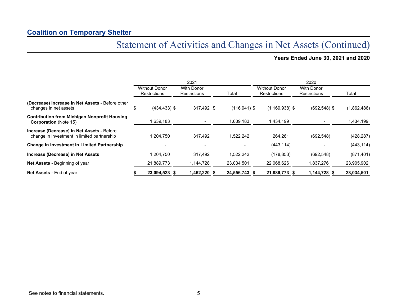## Statement of Activities and Changes in Net Assets (Continued)

**Years Ended June 30, 2021 and 2020**

|                                                                                           |                                             | 2021                                     |                 | 2020                                        |                                          |             |  |  |  |  |
|-------------------------------------------------------------------------------------------|---------------------------------------------|------------------------------------------|-----------------|---------------------------------------------|------------------------------------------|-------------|--|--|--|--|
|                                                                                           | <b>Without Donor</b><br><b>Restrictions</b> | <b>With Donor</b><br><b>Restrictions</b> | Total           | <b>Without Donor</b><br><b>Restrictions</b> | <b>With Donor</b><br><b>Restrictions</b> | Total       |  |  |  |  |
| (Decrease) Increase in Net Assets - Before other<br>changes in net assets                 | \$<br>$(434, 433)$ \$                       | 317,492 \$                               | $(116, 941)$ \$ | $(1,169,938)$ \$                            | $(692, 548)$ \$                          | (1,862,486) |  |  |  |  |
| <b>Contribution from Michigan Nonprofit Housing</b><br><b>Corporation</b> (Note 15)       | 1,639,183                                   |                                          | 1,639,183       | 1,434,199                                   |                                          | 1,434,199   |  |  |  |  |
| Increase (Decrease) in Net Assets - Before<br>change in investment in limited partnership | 1,204,750                                   | 317,492                                  | 1,522,242       | 264,261                                     | (692, 548)                               | (428, 287)  |  |  |  |  |
| Change in Investment in Limited Partnership                                               |                                             |                                          |                 | (443, 114)                                  |                                          | (443, 114)  |  |  |  |  |
| Increase (Decrease) in Net Assets                                                         | 1.204.750                                   | 317,492                                  | 1,522,242       | (178, 853)                                  | (692, 548)                               | (871, 401)  |  |  |  |  |
| Net Assets - Beginning of year                                                            | 21,889,773                                  | 1,144,728                                | 23,034,501      | 22,068,626                                  | 1,837,276                                | 23,905,902  |  |  |  |  |
| <b>Net Assets - End of year</b>                                                           | 23,094,523 \$                               | 1,462,220 \$                             | 24,556,743 \$   | 21,889,773 \$                               | 1,144,728 \$                             | 23,034,501  |  |  |  |  |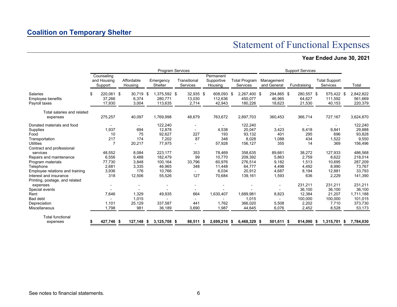## Statement of Functional Expenses

### **Year Ended June 30, 2021**

|                                                       | <b>Program Services</b> |                                      |  |                          |     |                                    |  |                              | <b>Support Services</b>            |                                    |      |                                |  |                                |                                         |                                 |  |                                 |
|-------------------------------------------------------|-------------------------|--------------------------------------|--|--------------------------|-----|------------------------------------|--|------------------------------|------------------------------------|------------------------------------|------|--------------------------------|--|--------------------------------|-----------------------------------------|---------------------------------|--|---------------------------------|
|                                                       |                         | Counseling<br>and Housing<br>Support |  | Affordable<br>Housing    |     | Emergency<br>Shelter               |  | Transitional<br>Services     | Permanent<br>Supportive<br>Housing | <b>Total Program</b><br>Services   |      | Management<br>and General      |  | Fundraising                    | <b>Total Support</b><br><b>Services</b> |                                 |  | Total                           |
| <b>Salaries</b><br>Employee benefits<br>Payroll taxes | ß.                      | 220.061 \$<br>37,266<br>17,930       |  | 30.719<br>6,374<br>3,004 | -\$ | 1,375,592 \$<br>280,771<br>113,635 |  | 32,935 \$<br>13,030<br>2,714 | 608.093 \$<br>112,636<br>42,943    | 2,267,400 \$<br>450,077<br>180,226 |      | 294,865 \$<br>46,965<br>18,623 |  | 280,557 \$<br>64,627<br>21,530 |                                         | 575,422 \$<br>111,592<br>40,153 |  | 2,842,822<br>561,669<br>220,379 |
| Total salaries and related                            |                         |                                      |  |                          |     |                                    |  |                              |                                    |                                    |      |                                |  |                                |                                         |                                 |  |                                 |
| expenses                                              |                         | 275,257                              |  | 40,097                   |     | 1,769,998                          |  | 48,679                       | 763,672                            | 2,897,703                          |      | 360,453                        |  | 366,714                        |                                         | 727,167                         |  | 3,624,870                       |
| Donated materials and food                            |                         |                                      |  | $\overline{\phantom{a}}$ |     | 122,240                            |  |                              |                                    | 122,240                            |      |                                |  |                                |                                         | $\overline{\phantom{a}}$        |  | 122,240                         |
| Supplies                                              |                         | 1,937                                |  | 694                      |     | 12,878                             |  |                              | 4,538                              | 20,047                             |      | 3,423                          |  | 6,418                          |                                         | 9,841                           |  | 29,888                          |
| Food                                                  |                         | 10                                   |  | 75                       |     | 92,627                             |  | 227                          | 193                                | 93,132                             |      | 401                            |  | 295                            |                                         | 696                             |  | 93,828                          |
| Transportation                                        |                         | 217                                  |  | 174                      |     | 7,202                              |  | 87                           | 348                                | 8,028                              |      | 1,088                          |  | 434                            |                                         | 1,522                           |  | 9,550                           |
| <b>Utilities</b>                                      |                         | 7                                    |  | 20,217                   |     | 77,975                             |  |                              | 57,928                             | 156,127                            |      | 355                            |  | 14                             |                                         | 369                             |  | 156,496                         |
| Contract and professional                             |                         |                                      |  |                          |     |                                    |  |                              |                                    |                                    |      |                                |  |                                |                                         |                                 |  |                                 |
| services                                              |                         | 48,552                               |  | 8,084                    |     | 223,177                            |  | 353                          | 78,469                             | 358,635                            |      | 89,661                         |  | 38,272                         |                                         | 127,933                         |  | 486,568                         |
| Repairs and maintenance                               |                         | 6,556                                |  | 9,488                    |     | 182,479                            |  | 99                           | 10,770                             | 209,392                            |      | 5,863                          |  | 2,759                          |                                         | 8,622                           |  | 218,014                         |
| Program materials                                     |                         | 77,730                               |  | 3,848                    |     | 100,164                            |  | 33,796                       | 60,976                             | 276,514                            |      | 9,182                          |  | 1,513                          |                                         | 10,695                          |  | 287,209                         |
| Telephone                                             |                         | 2,681                                |  | 3,335                    |     | 46,965                             |  | 348                          | 11,448                             | 64,777                             |      | 4,498                          |  | 4,492                          |                                         | 8,990                           |  | 73,767                          |
| Employee relations and training                       |                         | 3,936                                |  | 176                      |     | 10.766                             |  |                              | 6,034                              | 20,912                             |      | 4,687                          |  | 8,194                          |                                         | 12,881                          |  | 33,793                          |
| Interest and insurance                                |                         | 318                                  |  | 12,506                   |     | 55,526                             |  | 127                          | 70,684                             | 139,161                            |      | 1,593                          |  | 636                            |                                         | 2,229                           |  | 141,390                         |
| Printing, postage, and related                        |                         |                                      |  |                          |     |                                    |  |                              |                                    |                                    |      |                                |  |                                |                                         |                                 |  |                                 |
| expenses                                              |                         |                                      |  |                          |     |                                    |  |                              |                                    |                                    |      |                                |  | 231,211                        |                                         | 231,211                         |  | 231,211                         |
| Special events                                        |                         |                                      |  |                          |     |                                    |  |                              |                                    |                                    |      |                                |  | 36,100                         |                                         | 36,100                          |  | 36,100                          |
| Rent                                                  |                         | 7.646                                |  | 1,329                    |     | 49,935                             |  | 664                          | 1,630,407                          | 1,689,981                          |      | 8,823                          |  | 12,384                         |                                         | 21,207                          |  | 1,711,188                       |
| Bad debt                                              |                         |                                      |  | 1,015                    |     |                                    |  | $\overline{\phantom{0}}$     |                                    | 1,015                              |      | $\overline{\phantom{0}}$       |  | 100,000                        |                                         | 100,000                         |  | 101,015                         |
| Depreciation                                          |                         | 1,101                                |  | 25,129                   |     | 337,587                            |  | 441                          | 1.762                              | 366.020                            |      | 5,508                          |  | 2,202                          |                                         | 7,710                           |  | 373,730                         |
| Miscellaneous                                         |                         | 1,798                                |  | 981                      |     | 36,189                             |  | 3,690                        | 1,987                              | 44,645                             |      | 6,076                          |  | 2,452                          |                                         | 8,528                           |  | 53,173                          |
| <b>Total functional</b>                               |                         |                                      |  |                          |     |                                    |  |                              |                                    |                                    |      |                                |  |                                |                                         |                                 |  |                                 |
| expenses                                              |                         | 427,746 \$                           |  | 127,148 \$               |     | 3,125,708 \$                       |  | 88,511 \$                    | 2,699,216 \$                       | 6,468,329                          | - \$ | 501,611 \$                     |  | 814,090 \$                     |                                         | 1,315,701 \$                    |  | 7,784,030                       |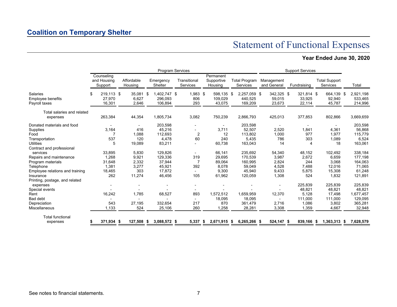## Statement of Functional Expenses

### **Year Ended June 30, 2020**

|                                                       |    | Program Services                     |  |                          |    |                                    |  |                          |  | <b>Support Services</b>            |                                    |                                |             |                                |                                         |     |                                 |
|-------------------------------------------------------|----|--------------------------------------|--|--------------------------|----|------------------------------------|--|--------------------------|--|------------------------------------|------------------------------------|--------------------------------|-------------|--------------------------------|-----------------------------------------|-----|---------------------------------|
|                                                       |    | Counseling<br>and Housing<br>Support |  | Affordable<br>Housing    |    | Emergency<br>Shelter               |  | Transitional<br>Services |  | Permanent<br>Supportive<br>Housing | <b>Total Program</b><br>Services   | Management<br>and General      | Fundraising |                                | <b>Total Support</b><br><b>Services</b> |     | Total                           |
| <b>Salaries</b><br>Employee benefits<br>Payroll taxes | ß. | 219,113 \$<br>27,970<br>16,301       |  | 35,081<br>6,627<br>2,646 | \$ | 1,402,747 \$<br>296,093<br>106,894 |  | 1,983 \$<br>806<br>293   |  | 598,135 \$<br>109,029<br>43,075    | 2,257,059 \$<br>440,525<br>169,209 | 342,325 \$<br>59,015<br>23,673 |             | 321,814 \$<br>33,925<br>22,114 | 664,139<br>92,940<br>45,787             | -\$ | 2,921,198<br>533,465<br>214,996 |
| Total salaries and related                            |    |                                      |  |                          |    |                                    |  |                          |  |                                    |                                    |                                |             |                                |                                         |     |                                 |
| expenses                                              |    | 263,384                              |  | 44,354                   |    | 1,805,734                          |  | 3,082                    |  | 750,239                            | 2,866,793                          | 425,013                        |             | 377,853                        | 802,866                                 |     | 3,669,659                       |
| Donated materials and food                            |    |                                      |  | $\overline{\phantom{a}}$ |    | 203,598                            |  |                          |  |                                    | 203,598                            |                                |             |                                | $\overline{\phantom{a}}$                |     | 203,598                         |
| Supplies                                              |    | 3,164                                |  | 416                      |    | 45,216                             |  | $\overline{\phantom{a}}$ |  | 3,711                              | 52,507                             | 2,520                          |             | 1,841                          | 4,361                                   |     | 56,868                          |
| Food                                                  |    |                                      |  | 1,088                    |    | 112,693                            |  | 2                        |  | 12                                 | 113,802                            | 1,000                          |             | 977                            | 1.977                                   |     | 115,779                         |
| Transportation                                        |    | 537                                  |  | 120                      |    | 4,478                              |  | 60                       |  | 240                                | 5,435                              | 786                            |             | 303                            | 1,089                                   |     | 6,524                           |
| <b>Utilities</b>                                      |    | 5                                    |  | 19,089                   |    | 83,211                             |  |                          |  | 60,738                             | 163,043                            | 14                             |             | 4                              | 18                                      |     | 163,061                         |
| Contract and professional                             |    |                                      |  |                          |    |                                    |  |                          |  |                                    |                                    |                                |             |                                |                                         |     |                                 |
| services                                              |    | 33,895                               |  | 5.830                    |    | 129.826                            |  | $\overline{\phantom{a}}$ |  | 66,141                             | 235.692                            | 54,340                         |             | 48.152                         | 102.492                                 |     | 338,184                         |
| Repairs and maintenance                               |    | .268<br>1                            |  | 9,921                    |    | 129,336                            |  | 319                      |  | 29,695                             | 170,539                            | 3,987                          |             | 2,672                          | 6,659                                   |     | 177,198                         |
| Program materials                                     |    | 31,648                               |  | 2,332                    |    | 37,944                             |  | 7                        |  | 89,064                             | 160,995                            | 2,824                          |             | 244                            | 3,068                                   |     | 164,063                         |
| Telephone                                             |    | 1,381                                |  | 3,277                    |    | 45,921                             |  | 392                      |  | 8,078                              | 59,049                             | 4,528                          |             | 7,488                          | 12,016                                  |     | 71,065                          |
| Employee relations and training                       |    | 18,465                               |  | 303                      |    | 17,872                             |  |                          |  | 9,300                              | 45,940                             | 9,433                          |             | 5,875                          | 15,308                                  |     | 61,248                          |
| Insurance                                             |    | 262                                  |  | 11,274                   |    | 46,456                             |  | 105                      |  | 61,962                             | 120,059                            | 1,308                          |             | 524                            | 1,832                                   |     | 121,891                         |
| Printing, postage, and related                        |    |                                      |  |                          |    |                                    |  |                          |  |                                    |                                    |                                |             |                                |                                         |     |                                 |
| expenses                                              |    |                                      |  |                          |    |                                    |  |                          |  |                                    |                                    |                                |             | 225,839                        | 225,839                                 |     | 225,839                         |
| Special events                                        |    |                                      |  |                          |    |                                    |  |                          |  |                                    |                                    |                                |             | 48,821                         | 48,821                                  |     | 48,821                          |
| Rent                                                  |    | 16,242                               |  | 1,785                    |    | 68,527                             |  | 893                      |  | 1,572,512                          | 1,659,959                          | 12,370                         |             | 5,128                          | 17,498                                  |     | 1,677,457                       |
| Bad debt                                              |    |                                      |  |                          |    |                                    |  | $\overline{\phantom{0}}$ |  | 18,095                             | 18,095                             | $\overline{\phantom{a}}$       |             | 111,000                        | 111,000                                 |     | 129,095                         |
| Depreciation                                          |    | 543                                  |  | 27,195                   |    | 332,654                            |  | 217                      |  | 870                                | 361,479                            | 2,716                          |             | 1,086                          | 3,802                                   |     | 365,281                         |
| Miscellaneous                                         |    | 1,133                                |  | 524                      |    | 25,106                             |  | 260                      |  | 1,258                              | 28,281                             | 3,308                          |             | 1,359                          | 4,667                                   |     | 32,948                          |
| <b>Total functional</b>                               |    |                                      |  |                          |    |                                    |  |                          |  |                                    |                                    |                                |             |                                |                                         |     |                                 |
| expenses                                              |    | 371,934 \$                           |  | 127,508 \$               |    | 3,088,572 \$                       |  | $5,337$ \$               |  | 2,671,915 \$                       | 6,265,266 \$                       | 524,147 \$                     |             | 839,166 \$                     | $1,363,313$ \$                          |     | 7,628,579                       |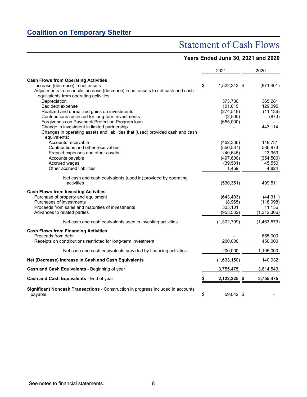## Statement of Cash Flows

### **Years Ended June 30, 2021 and 2020**

|                                                                                                    | 2021               | 2020        |
|----------------------------------------------------------------------------------------------------|--------------------|-------------|
| <b>Cash Flows from Operating Activities</b>                                                        |                    |             |
| Increase (decrease) in net assets                                                                  | \$<br>1,522,242 \$ | (871, 401)  |
| Adjustments to reconcile increase (decrease) in net assets to net cash and cash                    |                    |             |
| equivalents from operating activities:                                                             |                    |             |
| Depreciation                                                                                       | 373,730            | 365,281     |
| Bad debt expense                                                                                   | 101,015            | 129,095     |
| Realized and unrealized gains on investments                                                       | (274, 548)         | (11, 136)   |
| Contributions restricted for long-term investments                                                 | (2,500)            | (873)       |
| Forgiveness on Paycheck Protection Program Ioan                                                    | (655,000)          |             |
| Change in investment in limited partnership                                                        |                    | 443,114     |
| Changes in operating assets and liabilities that (used) provided cash and cash<br>equivalents:     |                    |             |
| Accounts receivable                                                                                | (462, 336)         | 148,731     |
| Contributions and other receivables                                                                | (556, 587)         | 586,873     |
| Prepaid expenses and other assets                                                                  | (40, 645)          | 13,953      |
| Accounts payable                                                                                   | (497, 600)         | (354, 500)  |
| Accrued wages                                                                                      | (39, 581)          | 45,550      |
| Other accrued liabilities                                                                          | 1,459              | 4,824       |
|                                                                                                    |                    |             |
| Net cash and cash equivalents (used in) provided by operating                                      |                    |             |
| activities                                                                                         | (530, 351)         | 499,511     |
|                                                                                                    |                    |             |
| <b>Cash Flows from Investing Activities</b>                                                        |                    |             |
| Purchase of property and equipment                                                                 | (643, 403)         | (44, 311)   |
| Purchases of investments                                                                           | (8,965)            | (118,098)   |
| Proceeds from sales and maturities of investments                                                  | 303,101            | 11,136      |
| Advances to related parties                                                                        | (953, 532)         | (1,312,306) |
| Net cash and cash equivalents used in investing activities                                         | (1,302,799)        | (1,463,579) |
| <b>Cash Flows from Financing Activities</b>                                                        |                    |             |
| Proceeds from debt                                                                                 |                    | 655,000     |
| Receipts on contributions restricted for long-term investment                                      | 200,000            | 450,000     |
|                                                                                                    |                    |             |
| Net cash and cash equivalents provided by financing activities                                     | 200,000            | 1,105,000   |
| Net (Decrease) Increase in Cash and Cash Equivalents                                               | (1,633,150)        | 140,932     |
| Cash and Cash Equivalents - Beginning of year                                                      | 3,755,475          | 3,614,543   |
| Cash and Cash Equivalents - End of year                                                            | \$<br>2,122,325 \$ | 3,755,475   |
|                                                                                                    |                    |             |
| <b>Significant Noncash Transactions - Construction in progress included in accounts</b><br>payable | \$<br>59,042 \$    |             |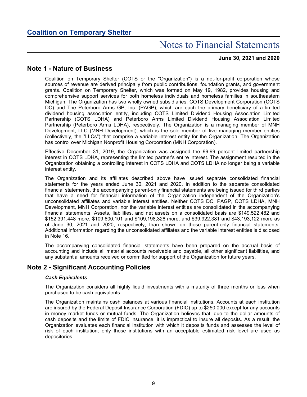### **June 30, 2021 and 2020**

### **Note 1 - Nature of Business**

Coalition on Temporary Shelter (COTS or the "Organization") is a not-for-profit corporation whose sources of revenue are derived principally from public contributions, foundation grants, and government grants. Coalition on Temporary Shelter, which was formed on May 19, 1982, provides housing and comprehensive support services for both homeless individuals and homeless families in southeastern Michigan. The Organization has two wholly owned subsidiaries, COTS Development Corporation (COTS DC) and The Peterboro Arms GP, Inc. (PAGP), which are each the primary beneficiary of a limited dividend housing association entity, including COTS Limited Dividend Housing Association Limited Partnership (COTS LDHA) and Peterboro Arms Limited Dividend Housing Association Limited Partnership (Peterboro Arms LDHA), respectively. The Organization is a managing member of MNH Development, LLC (MNH Development), which is the sole member of five managing member entities (collectively, the "LLCs") that comprise a variable interest entity for the Organization. The Organization has control over Michigan Nonprofit Housing Corporation (MNH Corporation).

Effective December 31, 2019, the Organization was assigned the 99.99 percent limited partnership interest in COTS LDHA, representing the limited partner's entire interest. The assignment resulted in the Organization obtaining a controlling interest in COTS LDHA and COTS LDHA no longer being a variable interest entity.

The Organization and its affiliates described above have issued separate consolidated financial statements for the years ended June 30, 2021 and 2020. In addition to the separate consolidated financial statements, the accompanying parent-only financial statements are being issued for third parties that have a need for financial information of the Organization independent of the Organization's unconsolidated affiliates and variable interest entities. Neither COTS DC, PAGP, COTS LDHA, MNH Development, MNH Corporation, nor the variable interest entities are consolidated in the accompanying financial statements. Assets, liabilities, and net assets on a consolidated basis are \$149,522,482 and \$152,391,448 more, \$109,600,101 and \$109,198,326 more, and \$39,922,381 and \$43,193,122 more as of June 30, 2021 and 2020, respectively, than shown on these parent-only financial statements. Additional information regarding the unconsolidated affiliates and the variable interest entities is disclosed in Note 16.

The accompanying consolidated financial statements have been prepared on the accrual basis of accounting and include all material accounts receivable and payable, all other significant liabilities, and any substantial amounts received or committed for support of the Organization for future years.

### **Note 2 - Significant Accounting Policies**

### *Cash Equivalents*

The Organization considers all highly liquid investments with a maturity of three months or less when purchased to be cash equivalents.

The Organization maintains cash balances at various financial institutions. Accounts at each institution are insured by the Federal Deposit Insurance Corporation (FDIC) up to \$250,000 except for any accounts in money market funds or mutual funds. The Organization believes that, due to the dollar amounts of cash deposits and the limits of FDIC insurance, it is impractical to insure all deposits. As a result, the Organization evaluates each financial institution with which it deposits funds and assesses the level of risk of each institution; only those institutions with an acceptable estimated risk level are used as depositories.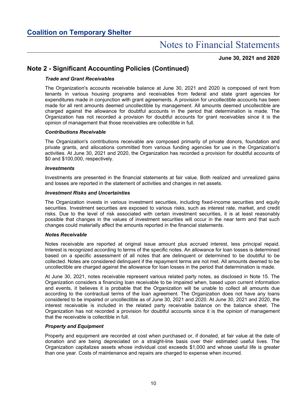### **June 30, 2021 and 2020**

### **Note 2 - Significant Accounting Policies (Continued)**

### *Trade and Grant Receivables*

The Organization's accounts receivable balance at June 30, 2021 and 2020 is composed of rent from tenants in various housing programs and receivables from federal and state grant agencies for expenditures made in conjunction with grant agreements. A provision for uncollectible accounts has been made for all rent amounts deemed uncollectible by management. All amounts deemed uncollectible are charged against the allowance for doubtful accounts in the period that determination is made. The Organization has not recorded a provision for doubtful accounts for grant receivables since it is the opinion of management that those receivables are collectible in full.

#### *Contributions Receivable*

The Organization's contributions receivable are composed primarily of private donors, foundation and private grants, and allocations committed from various funding agencies for use in the Organization's activities. At June 30, 2021 and 2020, the Organization has recorded a provision for doubtful accounts of \$0 and \$100,000, respectively.

#### *Investments*

Investments are presented in the financial statements at fair value. Both realized and unrealized gains and losses are reported in the statement of activities and changes in net assets.

#### *Investment Risks and Uncertainties*

The Organization invests in various investment securities, including fixed-income securities and equity securities. Investment securities are exposed to various risks, such as interest rate, market, and credit risks. Due to the level of risk associated with certain investment securities, it is at least reasonably possible that changes in the values of investment securities will occur in the near term and that such changes could materially affect the amounts reported in the financial statements.

#### *Notes Receivable*

Notes receivable are reported at original issue amount plus accrued interest, less principal repaid. Interest is recognized according to terms of the specific notes. An allowance for loan losses is determined based on a specific assessment of all notes that are delinquent or determined to be doubtful to be collected. Notes are considered delinquent if the repayment terms are not met. All amounts deemed to be uncollectible are charged against the allowance for loan losses in the period that determination is made.

At June 30, 2021, notes receivable represent various related party notes, as disclosed in Note 15. The Organization considers a financing loan receivable to be impaired when, based upon current information and events, it believes it is probable that the Organization will be unable to collect all amounts due according to the contractual terms of the loan agreement. The Organization does not have any loans considered to be impaired or uncollectible as of June 30, 2021 and 2020. At June 30, 2021 and 2020, the interest receivable is included in the related party receivable balance on the balance sheet. The Organization has not recorded a provision for doubtful accounts since it is the opinion of management that the receivable is collectible in full.

### *Property and Equipment*

Property and equipment are recorded at cost when purchased or, if donated, at fair value at the date of donation and are being depreciated on a straight-line basis over their estimated useful lives. The Organization capitalizes assets whose individual cost exceeds \$1,000 and whose useful life is greater than one year. Costs of maintenance and repairs are charged to expense when incurred.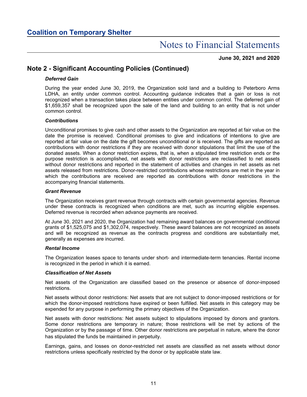**June 30, 2021 and 2020**

### **Note 2 - Significant Accounting Policies (Continued)**

### *Deferred Gain*

During the year ended June 30, 2019, the Organization sold land and a building to Peterboro Arms LDHA, an entity under common control. Accounting guidance indicates that a gain or loss is not recognized when a transaction takes place between entities under common control. The deferred gain of \$1,659,357 shall be recognized upon the sale of the land and building to an entity that is not under common control.

### *Contributions*

Unconditional promises to give cash and other assets to the Organization are reported at fair value on the date the promise is received. Conditional promises to give and indications of intentions to give are reported at fair value on the date the gift becomes unconditional or is received. The gifts are reported as contributions with donor restrictions if they are received with donor stipulations that limit the use of the donated assets. When a donor restriction expires, that is, when a stipulated time restriction ends or the purpose restriction is accomplished, net assets with donor restrictions are reclassified to net assets without donor restrictions and reported in the statement of activities and changes in net assets as net assets released from restrictions. Donor-restricted contributions whose restrictions are met in the year in which the contributions are received are reported as contributions with donor restrictions in the accompanying financial statements.

### *Grant Revenue*

The Organization receives grant revenue through contracts with certain governmental agencies. Revenue under these contracts is recognized when conditions are met, such as incurring eligible expenses. Deferred revenue is recorded when advance payments are received.

At June 30, 2021 and 2020, the Organization had remaining award balances on governmental conditional grants of \$1,525,075 and \$1,302,074, respectively. These award balances are not recognized as assets and will be recognized as revenue as the contracts progress and conditions are substantially met, generally as expenses are incurred.

#### *Rental Income*

The Organization leases space to tenants under short- and intermediate-term tenancies. Rental income is recognized in the period in which it is earned.

#### *Classification of Net Assets*

Net assets of the Organization are classified based on the presence or absence of donor-imposed restrictions.

Net assets without donor restrictions: Net assets that are not subject to donor-imposed restrictions or for which the donor-imposed restrictions have expired or been fulfilled. Net assets in this category may be expended for any purpose in performing the primary objectives of the Organization.

Net assets with donor restrictions: Net assets subject to stipulations imposed by donors and grantors. Some donor restrictions are temporary in nature; those restrictions will be met by actions of the Organization or by the passage of time. Other donor restrictions are perpetual in nature, where the donor has stipulated the funds be maintained in perpetuity.

Earnings, gains, and losses on donor-restricted net assets are classified as net assets without donor restrictions unless specifically restricted by the donor or by applicable state law.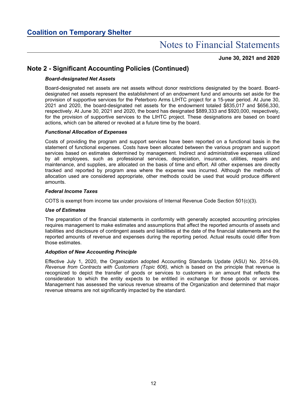### **June 30, 2021 and 2020**

### **Note 2 - Significant Accounting Policies (Continued)**

### *Board-designated Net Assets*

Board-designated net assets are net assets without donor restrictions designated by the board. Boarddesignated net assets represent the establishment of an endowment fund and amounts set aside for the provision of supportive services for the Peterboro Arms LIHTC project for a 15-year period. At June 30, 2021 and 2020, the board-designated net assets for the endowment totaled \$835,017 and \$656,330, respectively. At June 30, 2021 and 2020, the board has designated \$889,333 and \$920,000, respectively, for the provision of supportive services to the LIHTC project. These designations are based on board actions, which can be altered or revoked at a future time by the board.

### *Functional Allocation of Expenses*

Costs of providing the program and support services have been reported on a functional basis in the statement of functional expenses. Costs have been allocated between the various program and support services based on estimates determined by management. Indirect and administrative expenses utilized by all employees, such as professional services, depreciation, insurance, utilities, repairs and maintenance, and supplies, are allocated on the basis of time and effort. All other expenses are directly tracked and reported by program area where the expense was incurred. Although the methods of allocation used are considered appropriate, other methods could be used that would produce different amounts.

### *Federal Income Taxes*

COTS is exempt from income tax under provisions of Internal Revenue Code Section 501(c)(3).

#### *Use of Estimates*

The preparation of the financial statements in conformity with generally accepted accounting principles requires management to make estimates and assumptions that affect the reported amounts of assets and liabilities and disclosure of contingent assets and liabilities at the date of the financial statements and the reported amounts of revenue and expenses during the reporting period. Actual results could differ from those estimates.

#### *Adoption of New Accounting Principle*

Effective July 1, 2020, the Organization adopted Accounting Standards Update (ASU) No. 2014-09, *Revenue from Contracts with Customers (Topic 606)*, which is based on the principle that revenue is recognized to depict the transfer of goods or services to customers in an amount that reflects the consideration to which the entity expects to be entitled in exchange for those goods or services. Management has assessed the various revenue streams of the Organization and determined that major revenue streams are not significantly impacted by the standard.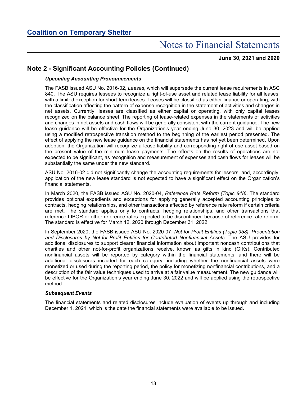### **June 30, 2021 and 2020**

### **Note 2 - Significant Accounting Policies (Continued)**

### *Upcoming Accounting Pronouncements*

The FASB issued ASU No. 2016-02, *Leases*, which will supersede the current lease requirements in ASC 840. The ASU requires lessees to recognize a right-of-use asset and related lease liability for all leases, with a limited exception for short-term leases. Leases will be classified as either finance or operating, with the classification affecting the pattern of expense recognition in the statement of activities and changes in net assets. Currently, leases are classified as either capital or operating, with only capital leases recognized on the balance sheet. The reporting of lease-related expenses in the statements of activities and changes in net assets and cash flows will be generally consistent with the current guidance. The new lease guidance will be effective for the Organization's year ending June 30, 2023 and will be applied using a modified retrospective transition method to the beginning of the earliest period presented. The effect of applying the new lease guidance on the financial statements has not yet been determined. Upon adoption, the Organization will recognize a lease liability and corresponding right-of-use asset based on the present value of the minimum lease payments. The effects on the results of operations are not expected to be significant, as recognition and measurement of expenses and cash flows for leases will be substantially the same under the new standard.

ASU No. 2016-02 did not significantly change the accounting requirements for lessors, and, accordingly, application of the new lease standard is not expected to have a significant effect on the Organization's financial statements.

In March 2020, the FASB issued ASU No. 2020-04, *Reference Rate Reform (Topic 848)*. The standard provides optional expedients and exceptions for applying generally accepted accounting principles to contracts, hedging relationships, and other transactions affected by reference rate reform if certain criteria are met. The standard applies only to contracts, hedging relationships, and other transactions that reference LIBOR or other reference rates expected to be discontinued because of reference rate reform. The standard is effective for March 12, 2020 through December 31, 2022.

In September 2020, the FASB issued ASU No. 2020-07, *Not-for-Profit Entities (Topic 958): Presentation and Disclosures by Not-for-Profit Entities for Contributed Nonfinancial Assets.* The ASU provides for additional disclosures to support clearer financial information about important noncash contributions that charities and other not-for-profit organizations receive, known as gifts in kind (GIKs). Contributed nonfinancial assets will be reported by category within the financial statements, and there will be additional disclosures included for each category, including whether the nonfinancial assets were monetized or used during the reporting period, the policy for monetizing nonfinancial contributions, and a description of the fair value techniques used to arrive at a fair value measurement. The new guidance will be effective for the Organization's year ending June 30, 2022 and will be applied using the retrospective method.

#### *Subsequent Events*

The financial statements and related disclosures include evaluation of events up through and including December 1, 2021, which is the date the financial statements were available to be issued.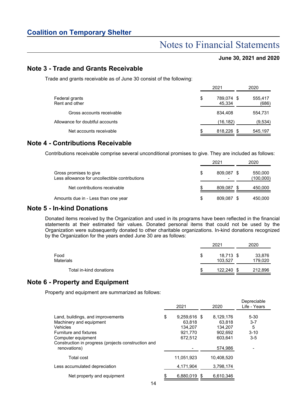### Notes to Financial Statements

### **June 30, 2021 and 2020**

Depreciable

### **Note 3 - Trade and Grants Receivable**

Trade and grants receivable as of June 30 consist of the following:

|                                  | 2021                       | 2020             |
|----------------------------------|----------------------------|------------------|
| Federal grants<br>Rent and other | \$<br>789.074 \$<br>45.334 | 555,417<br>(686) |
| Gross accounts receivable        | 834.408                    | 554.731          |
| Allowance for doubtful accounts  | (16, 182)                  | (9,534)          |
| Net accounts receivable          | \$<br>818,226 \$           | 545,197          |

### **Note 4 - Contributions Receivable**

Contributions receivable comprise several unconditional promises to give. They are included as follows:

|                                                                          |   | 2021       | 2020                 |
|--------------------------------------------------------------------------|---|------------|----------------------|
| Gross promises to give<br>Less allowance for uncollectible contributions | S | 809.087 \$ | 550,000<br>(100,000) |
| Net contributions receivable                                             |   | 809.087    | 450,000              |
| Amounts due in - Less than one year                                      | S | 809.087    | 450.000              |

### **Note 5 - In-kind Donations**

Donated items received by the Organization and used in its programs have been reflected in the financial statements at their estimated fair values. Donated personal items that could not be used by the Organization were subsequently donated to other charitable organizations. In-kind donations recognized by the Organization for the years ended June 30 are as follows:

|                         |   | 2021                 | 2020              |
|-------------------------|---|----------------------|-------------------|
| Food<br>Materials       | S | 18,713 \$<br>103,527 | 33,876<br>179,020 |
| Total in-kind donations | S | 122.240              | 212,896           |

### **Note 6 - Property and Equipment**

Property and equipment are summarized as follows:

|                                                                                                                                                                                                 | 2021                                                          | 2020                                                            | Depreciable<br>Life - Years                     |
|-------------------------------------------------------------------------------------------------------------------------------------------------------------------------------------------------|---------------------------------------------------------------|-----------------------------------------------------------------|-------------------------------------------------|
| Land, buildings, and improvements<br>Machinery and equipment<br>Vehicles<br>Furniture and fixtures<br>Computer equipment<br>Construction in progress (projects construction and<br>renovations) | \$<br>9,259,616 \$<br>63.818<br>134.207<br>921.770<br>672.512 | 8,129,176<br>63.818<br>134.207<br>902.692<br>603.641<br>574,986 | $5 - 30$<br>$3 - 7$<br>5<br>$3 - 10$<br>$3 - 5$ |
| Total cost<br>Less accumulated depreciation                                                                                                                                                     | 11.051.923<br>4.171.904                                       | 10.408.520<br>3.798.174                                         |                                                 |
| Net property and equipment                                                                                                                                                                      | 6,880,019 \$                                                  | 6,610,346                                                       |                                                 |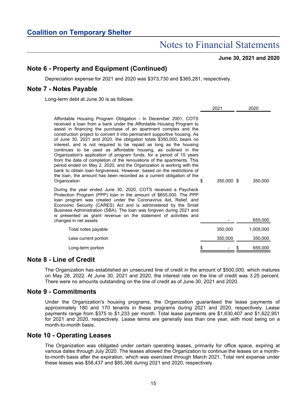**June 30, 2021 and 2020**

### **Note 6 - Property and Equipment (Continued)**

Depreciation expense for 2021 and 2020 was \$373,730 and \$365,281, respectively.

### **Note 7 - Notes Payable**

Long-term debt at June 30 is as follows:

|                                                                                                                                                                                                                                                                                                                                                                                                                                                                                                                                                                                                                                                                                                                                                                                                                                                                                                           | 2021       | 2020         |
|-----------------------------------------------------------------------------------------------------------------------------------------------------------------------------------------------------------------------------------------------------------------------------------------------------------------------------------------------------------------------------------------------------------------------------------------------------------------------------------------------------------------------------------------------------------------------------------------------------------------------------------------------------------------------------------------------------------------------------------------------------------------------------------------------------------------------------------------------------------------------------------------------------------|------------|--------------|
| Affordable Housing Program Obligation - In December 2001, COTS<br>received a loan from a bank under the Affordable Housing Program to<br>assist in financing the purchase of an apartment complex and the<br>construction project to convert it into permanent supportive housing. As<br>of June 30, 2021 and 2020, the obligation totals \$350,000, bears no<br>interest, and is not required to be repaid as long as the housing<br>continues to be used as affordable housing, as outlined in the<br>Organization's application of program funds, for a period of 15 years<br>from the date of completion of the renovations of the apartments. This<br>period ended on May 2, 2020, and the Organization is working with the<br>bank to obtain loan forgiveness. However, based on the restrictions of<br>the loan, the amount has been recorded as a current obligation of the<br>\$<br>Organization | 350,000 \$ | 350,000      |
| During the year ended June 30, 2020, COTS received a Paycheck<br>Protection Program (PPP) loan in the amount of \$655,000. The PPP<br>loan program was created under the Coronavirus Aid, Relief, and<br>Economic Security (CARES) Act and is administered by the Small<br>Business Administration (SBA). The loan was forgiven during 2021 and<br>is presented as grant revenue on the statement of activities and<br>changes in net assets                                                                                                                                                                                                                                                                                                                                                                                                                                                              |            | 655,000      |
| Total notes payable                                                                                                                                                                                                                                                                                                                                                                                                                                                                                                                                                                                                                                                                                                                                                                                                                                                                                       | 350,000    | 1,005,000    |
| Less current portion                                                                                                                                                                                                                                                                                                                                                                                                                                                                                                                                                                                                                                                                                                                                                                                                                                                                                      | 350,000    | 350,000      |
| \$<br>Long-term portion                                                                                                                                                                                                                                                                                                                                                                                                                                                                                                                                                                                                                                                                                                                                                                                                                                                                                   |            | 655,000<br>S |

### **Note 8 - Line of Credit**

The Organization has established an unsecured line of credit in the amount of \$500,000, which matures on May 28, 2022. At June 30, 2021 and 2020, the interest rate on the line of credit was 3.25 percent. There were no amounts outstanding on the line of credit as of June 30, 2021 and 2020.

### **Note 9 - Commitments**

Under the Organization's housing programs, the Organization guaranteed the lease payments of approximately 180 and 170 tenants in these programs during 2021 and 2020, respectively. Lease payments range from \$375 to \$1,233 per month. Total lease payments are \$1,630,407 and \$1,622,951 for 2021 and 2020, respectively. Lease terms are generally less than one year, with most being on a month-to-month basis.

### **Note 10 - Operating Leases**

The Organization was obligated under certain operating leases, primarily for office space, expiring at various dates through July 2020. The leases allowed the Organization to continue the leases on a monthto-month basis after the expiration, which was exercised through March 2021. Total rent expense under these leases was \$58,437 and \$85,366 during 2021 and 2020, respectively.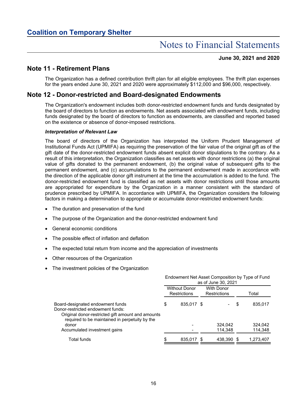### **June 30, 2021 and 2020**

### **Note 11 - Retirement Plans**

The Organization has a defined contribution thrift plan for all eligible employees. The thrift plan expenses for the years ended June 30, 2021 and 2020 were approximately \$112,000 and \$96,000, respectively.

### **Note 12 - Donor-restricted and Board-designated Endowments**

The Organization's endowment includes both donor-restricted endowment funds and funds designated by the board of directors to function as endowments. Net assets associated with endowment funds, including funds designated by the board of directors to function as endowments, are classified and reported based on the existence or absence of donor-imposed restrictions.

#### *Interpretation of Relevant Law*

The board of directors of the Organization has interpreted the Uniform Prudent Management of Institutional Funds Act (UPMIFA) as requiring the preservation of the fair value of the original gift as of the gift date of the donor-restricted endowment funds absent explicit donor stipulations to the contrary. As a result of this interpretation, the Organization classifies as net assets with donor restrictions (a) the original value of gifts donated to the permanent endowment, (b) the original value of subsequent gifts to the permanent endowment, and (c) accumulations to the permanent endowment made in accordance with the direction of the applicable donor gift instrument at the time the accumulation is added to the fund. The donor-restricted endowment fund is classified as net assets with donor restrictions until those amounts are appropriated for expenditure by the Organization in a manner consistent with the standard of prudence prescribed by UPMIFA. In accordance with UPMIFA, the Organization considers the following factors in making a determination to appropriate or accumulate donor-restricted endowment funds:

- The duration and preservation of the fund
- The purpose of the Organization and the donor-restricted endowment fund
- General economic conditions
- The possible effect of inflation and deflation
- The expected total return from income and the appreciation of investments
- Other resources of the Organization
- The investment policies of the Organization

|                                                                                                                                                                              | Endowment Net Asset Composition by Type of Fund<br>as of June 30, 2021 |                                             |  |                                   |   |                    |
|------------------------------------------------------------------------------------------------------------------------------------------------------------------------------|------------------------------------------------------------------------|---------------------------------------------|--|-----------------------------------|---|--------------------|
|                                                                                                                                                                              |                                                                        | <b>Without Donor</b><br><b>Restrictions</b> |  | <b>With Donor</b><br>Restrictions |   | Total              |
| Board-designated endowment funds<br>Donor-restricted endowment funds:<br>Original donor-restricted gift amount and amounts<br>required to be maintained in perpetuity by the | \$                                                                     | 835,017 \$                                  |  |                                   | S | 835.017            |
| donor<br>Accumulated investment gains                                                                                                                                        |                                                                        |                                             |  | 324,042<br>114.348                |   | 324,042<br>114,348 |
| <b>Total funds</b>                                                                                                                                                           | \$                                                                     | 835,017 \$                                  |  | 438,390 \$                        |   | 1,273,407          |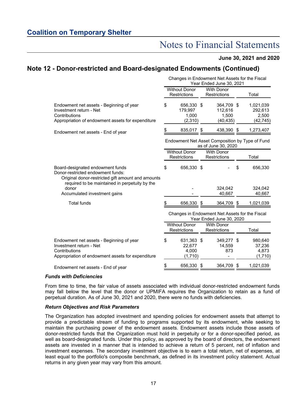### **June 30, 2021 and 2020**

### **Note 12 - Donor-restricted and Board-designated Endowments (Continued)**

|                                                                                                                                                                              | Changes in Endowment Net Assets for the Fiscal<br>Year Ended June 30, 2021 |                                             |      |                                                                        |    |                                            |
|------------------------------------------------------------------------------------------------------------------------------------------------------------------------------|----------------------------------------------------------------------------|---------------------------------------------|------|------------------------------------------------------------------------|----|--------------------------------------------|
|                                                                                                                                                                              |                                                                            | <b>Without Donor</b><br><b>Restrictions</b> |      | <b>With Donor</b><br><b>Restrictions</b>                               |    | Total                                      |
| Endowment net assets - Beginning of year<br>Investment return - Net<br>Contributions<br>Appropriation of endowment assets for expenditure                                    | \$                                                                         | 656,330 \$<br>179,997<br>1,000<br>(2,310)   |      | 364,709 \$<br>112,616<br>1,500<br>(40, 435)                            |    | 1,021,039<br>292,613<br>2,500<br>(42, 745) |
| Endowment net assets - End of year                                                                                                                                           | S                                                                          | 835,017                                     | - 5  | 438,390                                                                | S  | 1,273,407                                  |
|                                                                                                                                                                              |                                                                            |                                             |      | Endowment Net Asset Composition by Type of Fund<br>as of June 30, 2020 |    |                                            |
|                                                                                                                                                                              |                                                                            | <b>Without Donor</b><br><b>Restrictions</b> |      | <b>With Donor</b><br><b>Restrictions</b>                               |    | Total                                      |
| Board-designated endowment funds<br>Donor-restricted endowment funds:<br>Original donor-restricted gift amount and amounts<br>required to be maintained in perpetuity by the | \$                                                                         | 656,330 \$                                  |      |                                                                        | \$ | 656,330                                    |
| donor<br>Accumulated investment gains                                                                                                                                        |                                                                            |                                             |      | 324,042<br>40,667                                                      |    | 324,042<br>40,667                          |
| <b>Total funds</b>                                                                                                                                                           | S                                                                          | 656,330                                     | - \$ | 364,709                                                                | S  | 1,021,039                                  |
|                                                                                                                                                                              | Changes in Endowment Net Assets for the Fiscal<br>Year Ended June 30, 2020 |                                             |      |                                                                        |    |                                            |
|                                                                                                                                                                              |                                                                            | <b>Without Donor</b><br><b>Restrictions</b> |      | <b>With Donor</b><br><b>Restrictions</b>                               |    | Total                                      |
| Endowment net assets - Beginning of year<br>Investment return - Net<br>Contributions<br>Appropriation of endowment assets for expenditure                                    | \$                                                                         | 631,363 \$<br>22,677<br>4,000<br>(1,710)    |      | 349,277 \$<br>14,559<br>873                                            |    | 980,640<br>37,236<br>4,873<br>(1,710)      |
| Endowment net assets - End of year                                                                                                                                           | \$                                                                         | 656,330                                     |      | 364,709                                                                | \$ | 1,021,039                                  |

#### *Funds with Deficiencies*

From time to time, the fair value of assets associated with individual donor-restricted endowment funds may fall below the level that the donor or UPMIFA requires the Organization to retain as a fund of perpetual duration. As of June 30, 2021 and 2020, there were no funds with deficiencies.

#### *Return Objectives and Risk Parameters*

The Organization has adopted investment and spending policies for endowment assets that attempt to provide a predictable stream of funding to programs supported by its endowment, while seeking to maintain the purchasing power of the endowment assets. Endowment assets include those assets of donor-restricted funds that the Organization must hold in perpetuity or for a donor-specified period, as well as board-designated funds. Under this policy, as approved by the board of directors, the endowment assets are invested in a manner that is intended to achieve a return of 5 percent, net of inflation and investment expenses. The secondary investment objective is to earn a total return, net of expenses, at least equal to the portfolio's composite benchmark, as defined in its investment policy statement. Actual returns in any given year may vary from this amount.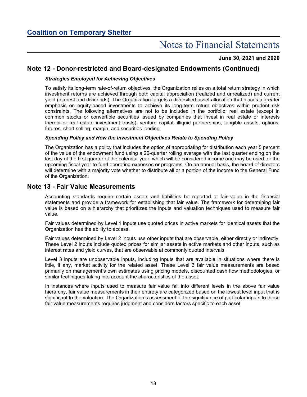### **June 30, 2021 and 2020**

### **Note 12 - Donor-restricted and Board-designated Endowments (Continued)**

### *Strategies Employed for Achieving Objectives*

To satisfy its long-term rate-of-return objectives, the Organization relies on a total return strategy in which investment returns are achieved through both capital appreciation (realized and unrealized) and current yield (interest and dividends). The Organization targets a diversified asset allocation that places a greater emphasis on equity-based investments to achieve its long-term return objectives within prudent risk constraints. The following alternatives are not to be included in the portfolio: real estate (except in common stocks or convertible securities issued by companies that invest in real estate or interests therein or real estate investment trusts), venture capital, illiquid partnerships, tangible assets, options, futures, short selling, margin, and securities lending.

### *Spending Policy and How the Investment Objectives Relate to Spending Policy*

The Organization has a policy that includes the option of appropriating for distribution each year 5 percent of the value of the endowment fund using a 20-quarter rolling average with the last quarter ending on the last day of the first quarter of the calendar year, which will be considered income and may be used for the upcoming fiscal year to fund operating expenses or programs. On an annual basis, the board of directors will determine with a majority vote whether to distribute all or a portion of the income to the General Fund of the Organization.

### **Note 13 - Fair Value Measurements**

Accounting standards require certain assets and liabilities be reported at fair value in the financial statements and provide a framework for establishing that fair value. The framework for determining fair value is based on a hierarchy that prioritizes the inputs and valuation techniques used to measure fair value.

Fair values determined by Level 1 inputs use quoted prices in active markets for identical assets that the Organization has the ability to access.

Fair values determined by Level 2 inputs use other inputs that are observable, either directly or indirectly. These Level 2 inputs include quoted prices for similar assets in active markets and other inputs, such as interest rates and yield curves, that are observable at commonly quoted intervals.

Level 3 inputs are unobservable inputs, including inputs that are available in situations where there is little, if any, market activity for the related asset. These Level 3 fair value measurements are based primarily on management's own estimates using pricing models, discounted cash flow methodologies, or similar techniques taking into account the characteristics of the asset.

In instances where inputs used to measure fair value fall into different levels in the above fair value hierarchy, fair value measurements in their entirety are categorized based on the lowest level input that is significant to the valuation. The Organization's assessment of the significance of particular inputs to these fair value measurements requires judgment and considers factors specific to each asset.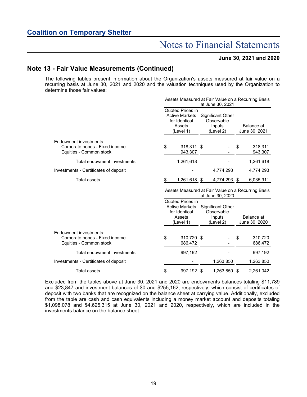### **June 30, 2021 and 2020**

### **Note 13 - Fair Value Measurements (Continued)**

The following tables present information about the Organization's assets measured at fair value on a recurring basis at June 30, 2021 and 2020 and the valuation techniques used by the Organization to determine those fair values:

|                                                                                     | Assets Measured at Fair Value on a Recurring Basis<br>at June 30, 2021 |                                                                                   |      |                                                        |    |                             |
|-------------------------------------------------------------------------------------|------------------------------------------------------------------------|-----------------------------------------------------------------------------------|------|--------------------------------------------------------|----|-----------------------------|
|                                                                                     |                                                                        | Quoted Prices in<br><b>Active Markets</b><br>for Identical<br>Assets<br>(Level 1) |      | Significant Other<br>Observable<br>Inputs<br>(Level 2) |    | Balance at<br>June 30, 2021 |
| Endowment investments:<br>Corporate bonds - Fixed income<br>Equities - Common stock | \$                                                                     | 318,311 \$<br>943,307                                                             |      |                                                        | \$ | 318,311<br>943,307          |
| Total endowment investments                                                         |                                                                        | 1,261,618                                                                         |      |                                                        |    | 1,261,618                   |
| Investments - Certificates of deposit                                               |                                                                        |                                                                                   |      | 4,774,293                                              |    | 4,774,293                   |
| <b>Total assets</b>                                                                 | \$                                                                     | 1,261,618                                                                         | - \$ | 4,774,293                                              | \$ | 6,035,911                   |
|                                                                                     | Assets Measured at Fair Value on a Recurring Basis<br>at June 30, 2020 |                                                                                   |      |                                                        |    |                             |
|                                                                                     |                                                                        |                                                                                   |      |                                                        |    |                             |
|                                                                                     |                                                                        | Quoted Prices in<br><b>Active Markets</b><br>for Identical<br>Assets<br>(Level 1) |      | Significant Other<br>Observable<br>Inputs<br>(Level 2) |    | Balance at<br>June 30, 2020 |
| Endowment investments:<br>Corporate bonds - Fixed income<br>Equities - Common stock | \$                                                                     | 310,720 \$<br>686,472                                                             |      |                                                        | \$ | 310,720<br>686,472          |
| Total endowment investments                                                         |                                                                        | 997,192                                                                           |      |                                                        |    | 997,192                     |
| Investments - Certificates of deposit                                               |                                                                        |                                                                                   |      | 1,263,850                                              |    | 1,263,850                   |

Excluded from the tables above at June 30, 2021 and 2020 are endowments balances totaling \$11,789 and \$23,847 and investment balances of \$0 and \$255,162, respectively, which consist of certificates of deposit with two banks that are recognized on the balance sheet at carrying value. Additionally, excluded from the table are cash and cash equivalents including a money market account and deposits totaling \$1,098,078 and \$4,625,315 at June 30, 2021 and 2020, respectively, which are included in the investments balance on the balance sheet.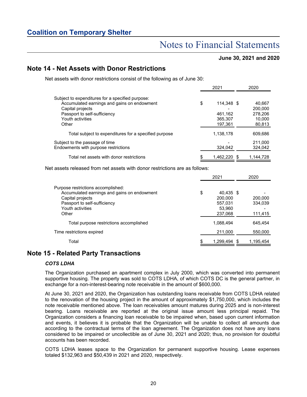### Notes to Financial Statements

**June 30, 2021 and 2020**

### **Note 14 - Net Assets with Donor Restrictions**

Net assets with donor restrictions consist of the following as of June 30:

|                                                       | 2021             | 2020      |
|-------------------------------------------------------|------------------|-----------|
| Subject to expenditures for a specified purpose:      |                  |           |
| Accumulated earnings and gains on endowment           | \$<br>114,348 \$ | 40,667    |
| Capital projects                                      |                  | 200,000   |
| Passport to self-sufficiency                          | 461,162          | 278,206   |
| Youth activities                                      | 365,307          | 10,000    |
| Other                                                 | 197.361          | 80,813    |
| Total subject to expenditures for a specified purpose | 1,138,178        | 609,686   |
| Subject to the passage of time                        |                  | 211,000   |
| Endowments with purpose restrictions                  | 324.042          | 324,042   |
| Total net assets with donor restrictions              | \$<br>1.462.220  | 1,144,728 |

Net assets released from net assets with donor restrictions are as follows:

|                                                                                                                                                                    | 2021                                                       | 2020                          |
|--------------------------------------------------------------------------------------------------------------------------------------------------------------------|------------------------------------------------------------|-------------------------------|
| Purpose restrictions accomplished:<br>Accumulated earnings and gains on endowment<br>Capital projects<br>Passport to self-sufficiency<br>Youth activities<br>Other | \$<br>40.435 \$<br>200.000<br>557,031<br>53,960<br>237,068 | 200,000<br>334,039<br>111,415 |
| Total purpose restrictions accomplished                                                                                                                            | 1.088.494                                                  | 645.454                       |
| Time restrictions expired                                                                                                                                          | 211,000                                                    | 550,000                       |
| Total                                                                                                                                                              | 1,299,494                                                  | 1,195,454                     |

### **Note 15 - Related Party Transactions**

### *COTS LDHA*

The Organization purchased an apartment complex in July 2000, which was converted into permanent supportive housing. The property was sold to COTS LDHA, of which COTS DC is the general partner, in exchange for a non-interest-bearing note receivable in the amount of \$600,000.

At June 30, 2021 and 2020, the Organization has outstanding loans receivable from COTS LDHA related to the renovation of the housing project in the amount of approximately \$1,750,000, which includes the note receivable mentioned above. The loan receivables amount matures during 2025 and is non-interest bearing. Loans receivable are reported at the original issue amount less principal repaid. The Organization considers a financing loan receivable to be impaired when, based upon current information and events, it believes it is probable that the Organization will be unable to collect all amounts due according to the contractual terms of the loan agreement. The Organization does not have any loans considered to be impaired or uncollectible as of June 30, 2021 and 2020; thus, no provision for doubtful accounts has been recorded.

COTS LDHA leases space to the Organization for permanent supportive housing. Lease expenses totaled \$132,963 and \$50,439 in 2021 and 2020, respectively.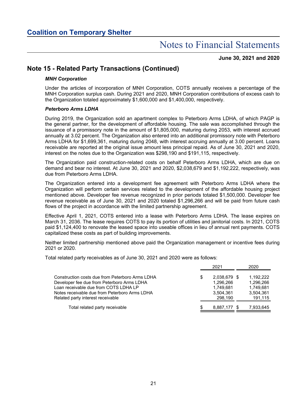**June 30, 2021 and 2020**

### **Note 15 - Related Party Transactions (Continued)**

### *MNH Corporation*

Under the articles of incorporation of MNH Corporation, COTS annually receives a percentage of the MNH Corporation surplus cash. During 2021 and 2020, MNH Corporation contributions of excess cash to the Organization totaled approximately \$1,600,000 and \$1,400,000, respectively.

### *Peterboro Arms LDHA*

During 2019, the Organization sold an apartment complex to Peterboro Arms LDHA, of which PAGP is the general partner, for the development of affordable housing. The sale was accomplished through the issuance of a promissory note in the amount of \$1,805,000, maturing during 2053, with interest accrued annually at 3.02 percent. The Organization also entered into an additional promissory note with Peterboro Arms LDHA for \$1,699,361, maturing during 2048, with interest accruing annually at 3.00 percent. Loans receivable are reported at the original issue amount less principal repaid. As of June 30, 2021 and 2020, interest on the notes due to the Organization was \$298,190 and \$191,115, respectively.

The Organization paid construction-related costs on behalf Peterboro Arms LDHA, which are due on demand and bear no interest. At June 30, 2021 and 2020, \$2,038,679 and \$1,192,222, respectively, was due from Peterboro Arms LDHA.

The Organization entered into a development fee agreement with Peterboro Arms LDHA where the Organization will perform certain services related to the development of the affordable housing project mentioned above. Developer fee revenue recognized in prior periods totaled \$1,500,000. Developer fee revenue receivable as of June 30, 2021 and 2020 totaled \$1,296,266 and will be paid from future cash flows of the project in accordance with the limited partnership agreement.

Effective April 1, 2021, COTS entered into a lease with Peterboro Arms LDHA. The lease expires on March 31, 2036. The lease requires COTS to pay its portion of utilities and janitorial costs. In 2021, COTS paid \$1,124,400 to renovate the leased space into useable offices in lieu of annual rent payments. COTS capitalized these costs as part of building improvements.

Neither limited partnership mentioned above paid the Organization management or incentive fees during 2021 or 2020.

Total related party receivables as of June 30, 2021 and 2020 were as follows:

|                                                 |    | 2021         | 2020      |
|-------------------------------------------------|----|--------------|-----------|
| Construction costs due from Peterboro Arms LDHA | \$ | 2.038.679 \$ | 1.192.222 |
| Developer fee due from Peterboro Arms LDHA      |    | 1.296.266    | 1.296.266 |
| Loan receivable due from COTS LDHA LP           |    | 1.749.681    | 1.749.681 |
| Notes receivable due from Peterboro Arms LDHA   |    | 3,504,361    | 3,504,361 |
| Related party interest receivable               |    | 298.190      | 191,115   |
| Total related party receivable                  | S  | 8,887,177 \$ | 7,933,645 |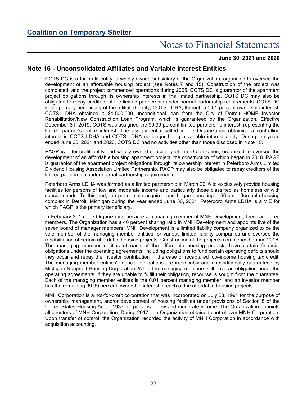### **June 30, 2021 and 2020**

### **Note 16 - Unconsolidated Affiliates and Variable Interest Entities**

COTS DC is a for-profit entity, a wholly owned subsidiary of the Organization, organized to oversee the development of an affordable housing project (see Notes 7 and 15). Construction of the project was completed, and the project commenced operations during 2005. COTS DC is guarantor of the apartment project obligations through its ownership interests in the limited partnership. COTS DC may also be obligated to repay creditors of the limited partnership under normal partnership requirements. COTS DC is the primary beneficiary of the affiliated entity, COTS LDHA, through a 0.01 percent ownership interest. COTS LDHA obtained a \$1,500,000 unconditional loan from the City of Detroit HOME Investor Rehabilitation/New Construction Loan Program, which is guaranteed by the Organization. Effective December 31, 2019, COTS was assigned the 99.99 percent limited partnership interest, representing the limited partner's entire interest. The assignment resulted in the Organization obtaining a controlling interest in COTS LDHA and COTS LDHA no longer being a variable interest entity. During the years ended June 30, 2021 and 2020, COTS DC had no activities other than those disclosed in Note 15.

PAGP is a for-profit entity and wholly owned subsidiary of the Organization, organized to oversee the development of an affordable housing apartment project, the construction of which began in 2018. PAGP is guarantor of the apartment project obligations through its ownership interest in Peterboro Arms Limited Dividend Housing Association Limited Partnership. PAGP may also be obligated to repay creditors of the limited partnership under normal partnership requirements.

Peterboro Arms LDHA was formed as a limited partnership in March 2016 to exclusively provide housing facilities for persons of low and moderate income and particularly those classified as homeless or with special needs. To this end, the partnership acquired and began operating a 56-unit affordable housing complex in Detroit, Michigan during the year ended June 30, 2021. Peterboro Arms LDHA is a VIE for which PAGP is the primary beneficiary.

In February 2015, the Organization became a managing member of MNH Development; there are three members. The Organization has a 40 percent sharing ratio in MNH Development and appoints five of the seven board of manager members. MNH Development is a limited liability company organized to be the sole member of the managing member entities for various limited liability companies and oversee the rehabilitation of certain affordable housing projects. Construction of the projects commenced during 2016. The managing member entities of each of the affordable housing projects have certain financial obligations under the operating agreements, including obligations to fund certain operating deficits should they occur and repay the investor contribution in the case of recaptured low-income housing tax credit. The managing member entities' financial obligations are irrevocably and unconditionally guaranteed by Michigan Nonprofit Housing Corporation. While the managing members still have an obligation under the operating agreements, if they are unable to fulfill their obligation, recourse is sought from the guarantee. Each of the managing member entities is the 0.01 percent managing member, and an investor member has the remaining 99.99 percent ownership interest in each of the affordable housing projects.

MNH Corporation is a not-for-profit corporation that was incorporated on July 23, 1991 for the purpose of ownership, management, and/or development of housing facilities under provisions of Section 8 of the United States Housing Act of 1937 for persons of low and moderate income. The Organization appoints all directors of MNH Corporation. During 2017, the Organization obtained control over MNH Corporation. Upon transfer of control, the Organization recorded the activity of MNH Corporation in accordance with acquisition accounting.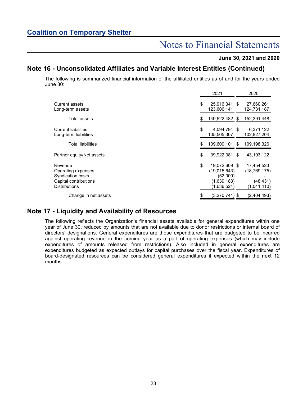### Notes to Financial Statements

### **June 30, 2021 and 2020**

### **Note 16 - Unconsolidated Affiliates and Variable Interest Entities (Continued)**

The following is summarized financial information of the affiliated entities as of and for the years ended June 30:

|                                                                                                     | 2021                                                                          |   | 2020                                                   |
|-----------------------------------------------------------------------------------------------------|-------------------------------------------------------------------------------|---|--------------------------------------------------------|
| Current assets<br>Long-term assets                                                                  | \$<br>25,916,341 \$<br>123.606.141                                            |   | 27,660,261<br>124,731,187                              |
| Total assets                                                                                        | \$<br>149,522,482 \$                                                          |   | 152,391,448                                            |
| <b>Current liabilities</b><br>Long-term liabilities                                                 | \$<br>4,094,794 \$<br>105.505.307                                             |   | 6,371,122<br>102,827,204                               |
| <b>Total liabilities</b>                                                                            | \$<br>109,600,101                                                             | S | 109,198,326                                            |
| Partner equity/Net assets                                                                           | \$<br>39,922,381                                                              | S | 43, 193, 122                                           |
| Revenue<br>Operating expenses<br>Syndication costs<br>Capital contributions<br><b>Distributions</b> | \$<br>19,072,609 \$<br>(19,015,643)<br>(52,000)<br>(1,639,183)<br>(1.636.524) |   | 17,454,523<br>(18,769,175)<br>(48, 431)<br>(1,041,410) |
| Change in net assets                                                                                | (3,270,741) \$                                                                |   | (2,404,493)                                            |

### **Note 17 - Liquidity and Availability of Resources**

The following reflects the Organization's financial assets available for general expenditures within one year of June 30, reduced by amounts that are not available due to donor restrictions or internal board of directors' designations. General expenditures are those expenditures that are budgeted to be incurred against operating revenue in the coming year as a part of operating expenses (which may include expenditures of amounts released from restrictions). Also included in general expenditures are expenditures budgeted as expected outlays for capital purchases over the fiscal year. Expenditures of board-designated resources can be considered general expenditures if expected within the next 12 months.